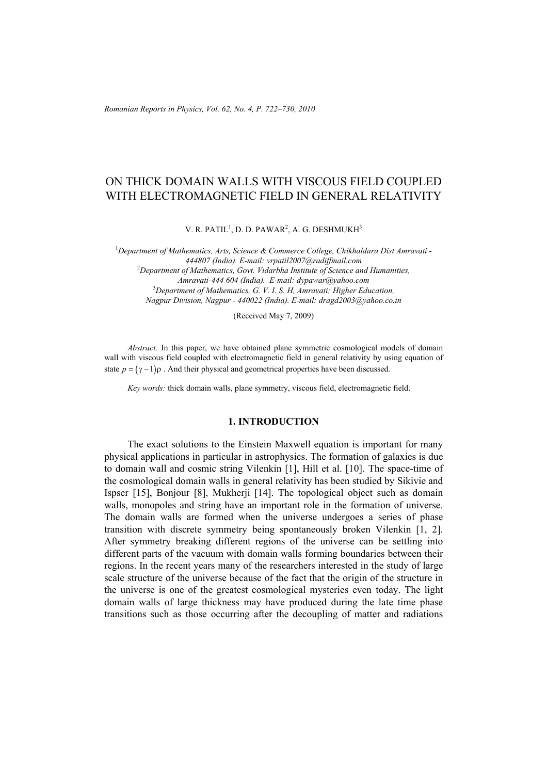# ON THICK DOMAIN WALLS WITH VISCOUS FIELD COUPLED WITH ELECTROMAGNETIC FIELD IN GENERAL RELATIVITY

V. R. PATIL $^1$ , D. D. PAWAR $^2$ , A. G. DESHMUKH $^3$ 

<sup>1</sup>Department of Mathematics, Arts, Science & Commerce College, Chikhaldara Dist Amravati -*444807 (India). E-mail: vrpatil2007@radiffmail.com* 2 *Department of Mathematics, Govt. Vidarbha Institute of Science and Humanities, Amravati-444 604 (India). E-mail: dypawar@yahoo.com* 3 *Department of Mathematics, G. V. I. S. H, Amravati; Higher Education, Nagpur Division, Nagpur - 440022 (India). E-mail: dragd2003@yahoo.co.in* 

(Received May 7, 2009)

*Abstract.* In this paper, we have obtained plane symmetric cosmological models of domain wall with viscous field coupled with electromagnetic field in general relativity by using equation of state  $p = (y-1)\rho$ . And their physical and geometrical properties have been discussed.

*Key words:* thick domain walls, plane symmetry, viscous field, electromagnetic field.

### **1. INTRODUCTION**

The exact solutions to the Einstein Maxwell equation is important for many physical applications in particular in astrophysics. The formation of galaxies is due to domain wall and cosmic string Vilenkin [1], Hill et al. [10]. The space-time of the cosmological domain walls in general relativity has been studied by Sikivie and Ispser [15], Bonjour [8], Mukherji [14]. The topological object such as domain walls, monopoles and string have an important role in the formation of universe. The domain walls are formed when the universe undergoes a series of phase transition with discrete symmetry being spontaneously broken Vilenkin [1, 2]. After symmetry breaking different regions of the universe can be settling into different parts of the vacuum with domain walls forming boundaries between their regions. In the recent years many of the researchers interested in the study of large scale structure of the universe because of the fact that the origin of the structure in the universe is one of the greatest cosmological mysteries even today. The light domain walls of large thickness may have produced during the late time phase transitions such as those occurring after the decoupling of matter and radiations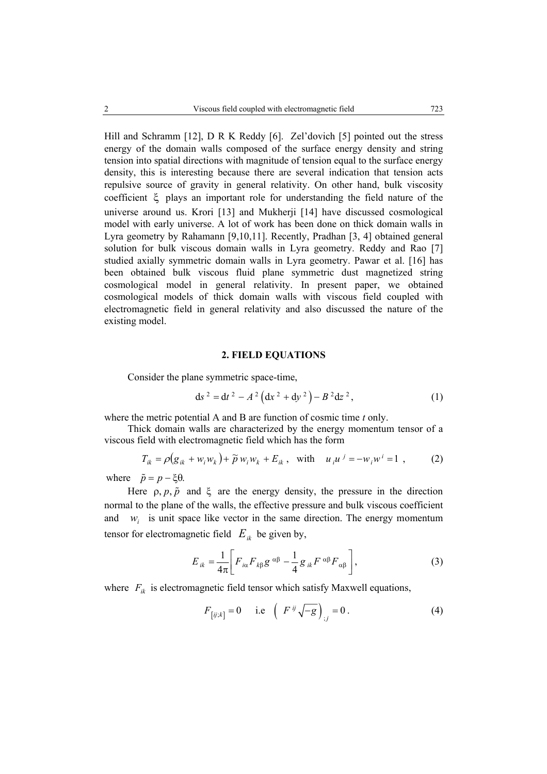Hill and Schramm [12], D R K Reddy [6]. Zel'dovich [5] pointed out the stress energy of the domain walls composed of the surface energy density and string tension into spatial directions with magnitude of tension equal to the surface energy density, this is interesting because there are several indication that tension acts repulsive source of gravity in general relativity. On other hand, bulk viscosity coefficient ξ plays an important role for understanding the field nature of the universe around us. Krori [13] and Mukherji [14] have discussed cosmological model with early universe. A lot of work has been done on thick domain walls in Lyra geometry by Rahamann [9,10,11]. Recently, Pradhan [3, 4] obtained general solution for bulk viscous domain walls in Lyra geometry. Reddy and Rao [7] studied axially symmetric domain walls in Lyra geometry. Pawar et al. [16] has been obtained bulk viscous fluid plane symmetric dust magnetized string cosmological model in general relativity. In present paper, we obtained cosmological models of thick domain walls with viscous field coupled with electromagnetic field in general relativity and also discussed the nature of the existing model.

#### **2. FIELD EQUATIONS**

Consider the plane symmetric space-time,

$$
ds^{2} = dt^{2} - A^{2} (dx^{2} + dy^{2}) - B^{2} dz^{2},
$$
 (1)

where the metric potential A and B are function of cosmic time *t* only.

Thick domain walls are characterized by the energy momentum tensor of a viscous field with electromagnetic field which has the form

$$
T_{ik} = \rho \big( g_{ik} + w_i w_k \big) + \widetilde{p} w_i w_k + E_{ik} , \text{ with } u_i u^j = -w_i w^i = 1 , \qquad (2)
$$

where  $\tilde{p} = p - \xi \theta$ .

Here  $\rho$ ,  $p$ ,  $\tilde{p}$  and  $\xi$  are the energy density, the pressure in the direction normal to the plane of the walls, the effective pressure and bulk viscous coefficient and  $w_i$  is unit space like vector in the same direction. The energy momentum tensor for electromagnetic field  $E_{ik}$  be given by,

$$
E_{ik} = \frac{1}{4\pi} \left[ F_{i\alpha} F_{k\beta} g^{\alpha\beta} - \frac{1}{4} g_{ik} F^{\alpha\beta} F_{\alpha\beta} \right],
$$
 (3)

where  $F_{ik}$  is electromagnetic field tensor which satisfy Maxwell equations,

$$
F_{[ij;k]} = 0 \quad \text{i.e} \quad \left(F^{ij}\sqrt{-g}\right)_{;j} = 0. \tag{4}
$$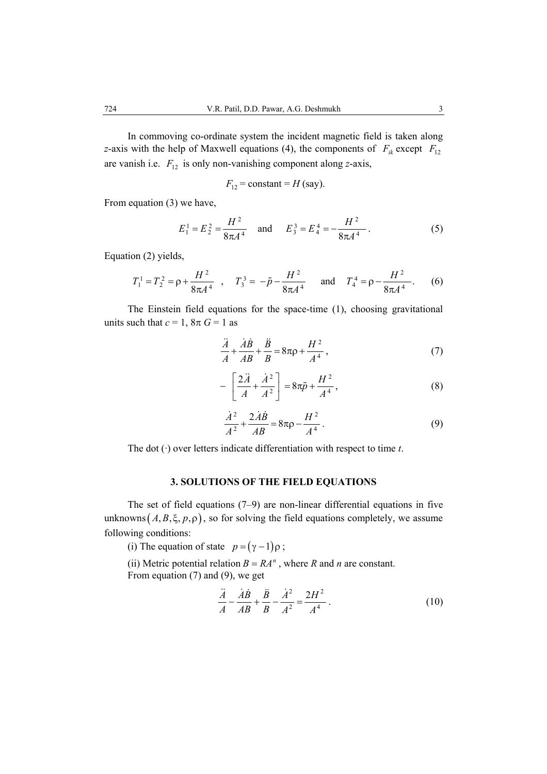In commoving co-ordinate system the incident magnetic field is taken along *z*-axis with the help of Maxwell equations (4), the components of  $F_{ik}$  except  $F_{12}$ are vanish i.e.  $F_{12}$  is only non-vanishing component along *z*-axis,

$$
F_{12}
$$
 = constant = H (say).

From equation (3) we have,

$$
E_1^1 = E_2^2 = \frac{H^2}{8\pi A^4} \quad \text{and} \quad E_3^3 = E_4^4 = -\frac{H^2}{8\pi A^4} \,. \tag{5}
$$

Equation (2) yields,

$$
T_1^1 = T_2^2 = \rho + \frac{H^2}{8\pi A^4}
$$
,  $T_3^3 = -\tilde{p} - \frac{H^2}{8\pi A^4}$  and  $T_4^4 = \rho - \frac{H^2}{8\pi A^4}$ . (6)

 The Einstein field equations for the space-time (1), choosing gravitational units such that  $c = 1$ ,  $8\pi G = 1$  as

$$
\frac{\ddot{A}}{A} + \frac{\dot{A}\dot{B}}{AB} + \frac{\ddot{B}}{B} = 8\pi\rho + \frac{H^2}{A^4},\tag{7}
$$

$$
-\left[\frac{2\ddot{A}}{A}+\frac{\dot{A}^2}{A^2}\right]=8\pi\tilde{p}+\frac{H^2}{A^4},\tag{8}
$$

$$
\frac{\dot{A}^2}{A^2} + \frac{2\dot{A}\dot{B}}{AB} = 8\pi\rho - \frac{H^2}{A^4}.
$$
 (9)

The dot (·) over letters indicate differentiation with respect to time *t*.

# **3. SOLUTIONS OF THE FIELD EQUATIONS**

 The set of field equations (7–9) are non-linear differential equations in five unknowns  $(A, B, \xi, p, \rho)$ , so for solving the field equations completely, we assume following conditions:

(i) The equation of state  $p = (\gamma - 1)\rho$ ;

(ii) Metric potential relation  $B = RA^n$ , where *R* and *n* are constant. From equation (7) and (9), we get

$$
\frac{\ddot{A}}{A} - \frac{\dot{A}\dot{B}}{AB} + \frac{\ddot{B}}{B} - \frac{\dot{A}^2}{A^2} = \frac{2H^2}{A^4} \,. \tag{10}
$$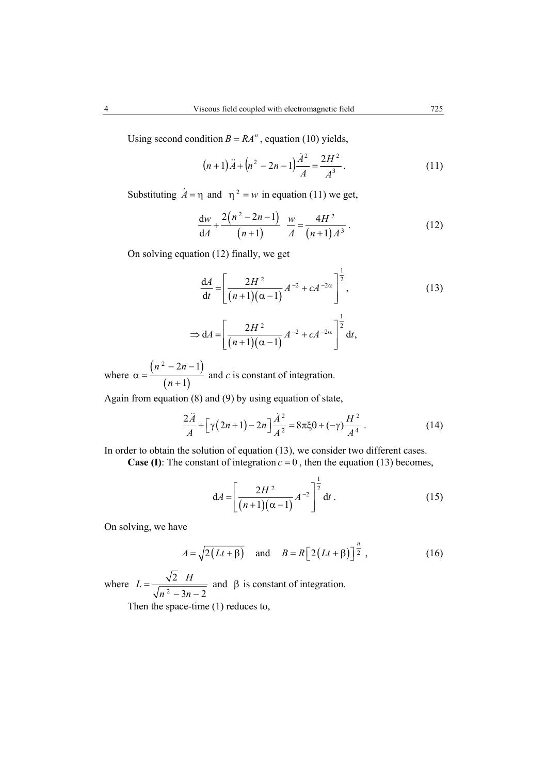Using second condition  $B = RA^n$ , equation (10) yields,

$$
(n+1)\ddot{A} + (n^2 - 2n - 1)\frac{\dot{A}^2}{A} = \frac{2H^2}{A^3}.
$$
 (11)

Substituting  $A = \eta$  and  $\eta^2 = w$  in equation (11) we get,

$$
\frac{dw}{dA} + \frac{2(n^2 - 2n - 1)}{(n+1)} \frac{w}{A} = \frac{4H^2}{(n+1)A^3}.
$$
 (12)

On solving equation (12) finally, we get

$$
\frac{dA}{dt} = \left[ \frac{2H^2}{(n+1)(\alpha - 1)} A^{-2} + cA^{-2\alpha} \right]^{\frac{1}{2}},
$$
\n(13)

1

$$
\Rightarrow dA = \left[\frac{2H^2}{(n+1)(\alpha-1)}A^{-2} + cA^{-2\alpha}\right]^2 dt,
$$

where  $\alpha = \frac{(n^2 - 2n - 1)}{2}$  $(n+1)$  $2^2 - 2n - 1$ 1  $n^2 - 2n$ *n*  $\alpha = \frac{(n^2-2n-1)}{(n+1)^2}$ + and *c* is constant of integration.

Again from equation (8) and (9) by using equation of state,

$$
\frac{2\ddot{A}}{A} + \left[\gamma(2n+1) - 2n\right]\frac{\dot{A}^2}{A^2} = 8\pi\xi\theta + (-\gamma)\frac{H^2}{A^4} \,. \tag{14}
$$

In order to obtain the solution of equation (13), we consider two different cases. **Case (I)**: The constant of integration  $c = 0$ , then the equation (13) becomes,

$$
dA = \left[ \frac{2H^2}{(n+1)(\alpha - 1)} A^{-2} \right]^{\frac{1}{2}} dt.
$$
 (15)

On solving, we have

$$
A = \sqrt{2(Lt + \beta)} \quad \text{and} \quad B = R\left[2(Lt + \beta)\right]^{\frac{n}{2}},\tag{16}
$$

where  $L = \frac{v}{\sqrt{n^2}}$ 2  $3n - 2$  $L = \frac{\sqrt{2} H}{\sqrt{n^2 - 3n - 2}}$  and  $\beta$  is constant of integration.

Then the space-time (1) reduces to,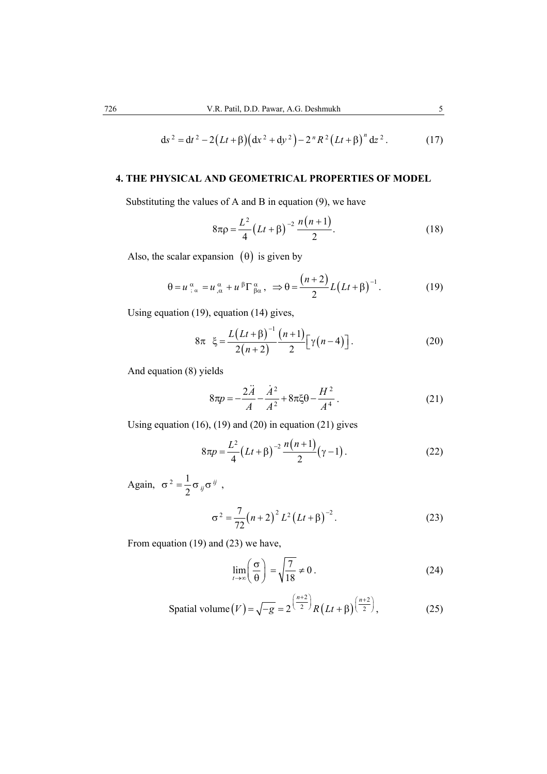$$
ds^{2} = dt^{2} - 2(Lt + \beta)\left(dx^{2} + dy^{2}\right) - 2^{n} R^{2} (Lt + \beta)^{n} dz^{2}. \qquad (17)
$$

## **4. THE PHYSICAL AND GEOMETRICAL PROPERTIES OF MODEL**

Substituting the values of A and B in equation (9), we have

$$
8\pi \rho = \frac{L^2}{4} \left( Lt + \beta \right)^{-2} \frac{n(n+1)}{2}.
$$
 (18)

Also, the scalar expansion  $(\theta)$  is given by

$$
\theta = u_{;\alpha}^{\alpha} = u_{;\alpha}^{\alpha} + u^{\beta} \Gamma_{\beta \alpha}^{\alpha}, \Rightarrow \theta = \frac{(n+2)}{2} L(Lt + \beta)^{-1}.
$$
 (19)

Using equation (19), equation (14) gives,

$$
8\pi \xi = \frac{L(Lt + \beta)^{-1}}{2(n+2)} \frac{(n+1)}{2} \Big[ \gamma(n-4) \Big].
$$
 (20)

And equation (8) yields

$$
8\pi p = -\frac{2\ddot{A}}{A} - \frac{\dot{A}^2}{A^2} + 8\pi\xi\theta - \frac{H^2}{A^4}.
$$
 (21)

Using equation (16), (19) and (20) in equation (21) gives

$$
8\pi p = \frac{L^2}{4} (Lt + \beta)^{-2} \frac{n(n+1)}{2} (\gamma - 1).
$$
 (22)

Again,  $\sigma^2 = \frac{1}{2}$  $\sigma^2 = \frac{1}{2} \sigma_{ij} \sigma^{ij}$ ,

$$
\sigma^2 = \frac{7}{72} (n+2)^2 L^2 (Lt + \beta)^{-2}.
$$
 (23)

From equation (19) and (23) we have,

$$
\lim_{t \to \infty} \left( \frac{\sigma}{\theta} \right) = \sqrt{\frac{7}{18}} \neq 0 \,. \tag{24}
$$

$$
\text{Spatial volume}\left(V\right) = \sqrt{-g} = 2^{\left(\frac{n+2}{2}\right)} R\left(Lt + \beta\right)^{\left(\frac{n+2}{2}\right)},\tag{25}
$$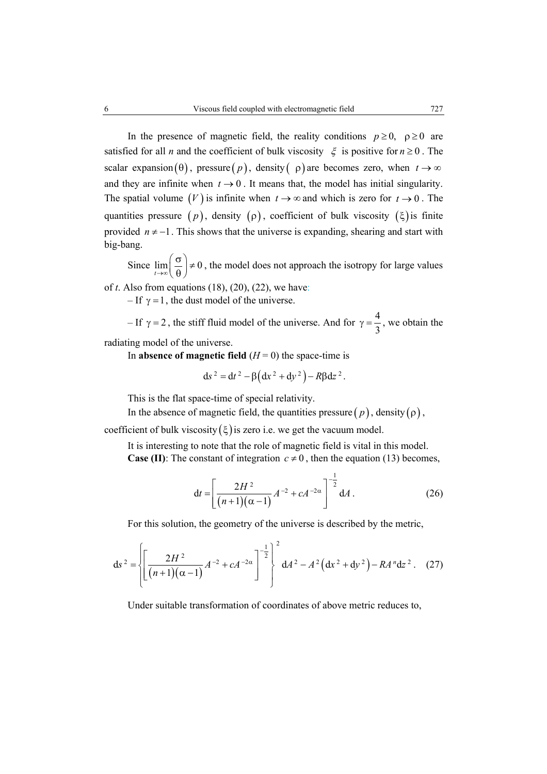In the presence of magnetic field, the reality conditions  $p \ge 0$ ,  $p \ge 0$  are satisfied for all *n* and the coefficient of bulk viscosity  $\xi$  is positive for  $n \ge 0$ . The scalar expansion (θ), pressure (*p*), density (*p*) are becomes zero, when  $t \to \infty$ and they are infinite when  $t \rightarrow 0$ . It means that, the model has initial singularity. The spatial volume  $(V)$  is infinite when  $t \to \infty$  and which is zero for  $t \to 0$ . The quantities pressure  $(p)$ , density  $(p)$ , coefficient of bulk viscosity  $(\xi)$  is finite provided  $n \neq -1$ . This shows that the universe is expanding, shearing and start with big-bang.

Since  $\lim_{t\to\infty} \left(\frac{\infty}{\theta}\right) \neq 0$  $\left(\frac{\sigma}{\theta}\right) \neq 0$ , the model does not approach the isotropy for large values

of *t*. Also from equations (18), (20), (22), we have:

– If  $\gamma = 1$ , the dust model of the universe.

– If  $\gamma = 2$ , the stiff fluid model of the universe. And for  $\gamma = \frac{4}{3}$ , we obtain the radiating model of the universe.

In **absence of magnetic field**  $(H = 0)$  the space-time is

$$
ds^{2} = dt^{2} - \beta (dx^{2} + dy^{2}) - R\beta dz^{2}.
$$

This is the flat space-time of special relativity.

In the absence of magnetic field, the quantities pressure  $(p)$ , density  $(p)$ ,

coefficient of bulk viscosity  $(\xi)$  is zero i.e. we get the vacuum model.

It is interesting to note that the role of magnetic field is vital in this model. **Case (II)**: The constant of integration  $c \neq 0$ , then the equation (13) becomes,

$$
dt = \left[ \frac{2H^2}{(n+1)(\alpha - 1)} A^{-2} + cA^{-2\alpha} \right]^{-\frac{1}{2}} dA.
$$
 (26)

For this solution, the geometry of the universe is described by the metric,

$$
ds^{2} = \left\{\left[\frac{2H^{2}}{(n+1)(\alpha-1)}A^{-2} + cA^{-2\alpha}\right]^{-\frac{1}{2}}\right\}^{2} dA^{2} - A^{2}(dx^{2} + dy^{2}) - RA^{n} dz^{2}. (27)
$$

Under suitable transformation of coordinates of above metric reduces to,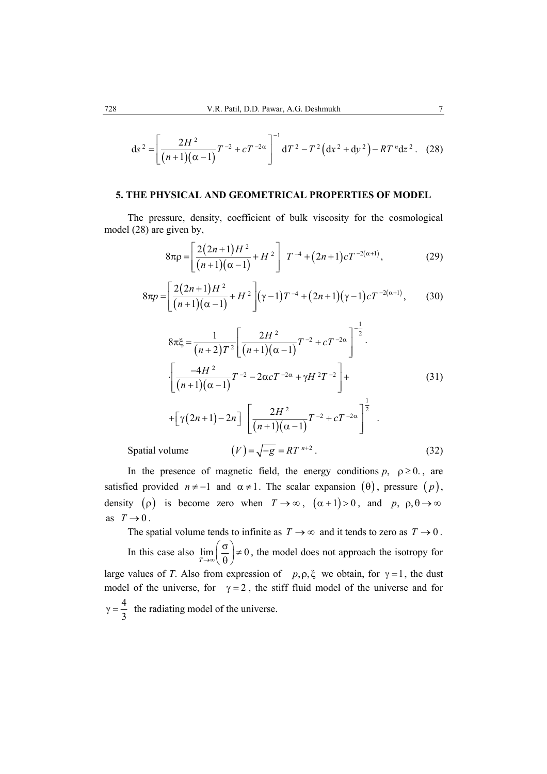$$
ds^{2} = \left[\frac{2H^{2}}{(n+1)(\alpha-1)}T^{-2} + cT^{-2\alpha}\right]^{-1} dT^{2} - T^{2}(dx^{2} + dy^{2}) - RT^{n}dz^{2}. (28)
$$

### **5. THE PHYSICAL AND GEOMETRICAL PROPERTIES OF MODEL**

The pressure, density, coefficient of bulk viscosity for the cosmological model (28) are given by,

$$
8\pi \rho = \left[ \frac{2(2n+1)H^2}{(n+1)(\alpha - 1)} + H^2 \right] T^{-4} + (2n+1)cT^{-2(\alpha+1)}, \tag{29}
$$

$$
8\pi p = \left[\frac{2(2n+1)H^2}{(n+1)(\alpha-1)} + H^2\right] (\gamma-1)T^{-4} + (2n+1)(\gamma-1)cT^{-2(\alpha+1)},\tag{30}
$$

$$
8\pi\xi = \frac{1}{(n+2)T^2} \left[ \frac{2H^2}{(n+1)(\alpha-1)} T^{-2} + cT^{-2\alpha} \right]^{-\frac{1}{2}}.
$$
  
\n
$$
\cdot \left[ \frac{-4H^2}{(n+1)(\alpha-1)} T^{-2} - 2\alpha cT^{-2\alpha} + \gamma H^2 T^{-2} \right] +
$$
  
\n
$$
+ \left[ \gamma (2n+1) - 2n \right] \left[ \frac{2H^2}{(n+1)(\alpha-1)} T^{-2} + cT^{-2\alpha} \right]^{\frac{1}{2}}.
$$
  
\nSpatial volume 
$$
(V) = \sqrt{-g} = RT^{n+2}.
$$
 (32)

In the presence of magnetic field, the energy conditions  $p$ ,  $p \ge 0$ ., are satisfied provided  $n \neq -1$  and  $\alpha \neq 1$ . The scalar expansion ( $\theta$ ), pressure ( $p$ ), density ( $\rho$ ) is become zero when  $T \to \infty$ ,  $(\alpha + 1) > 0$ , and  $p, \rho, \theta \to \infty$ as  $T \rightarrow 0$ .

The spatial volume tends to infinite as  $T \to \infty$  and it tends to zero as  $T \to 0$ . In this case also  $\lim_{T \to \infty} \left( \frac{6}{\theta} \right) \neq 0$  $\left(\frac{\sigma}{\theta}\right) \neq 0$ , the model does not approach the isotropy for large values of *T*. Also from expression of  $p, \rho, \xi$  we obtain, for  $\gamma = 1$ , the dust model of the universe, for  $\gamma = 2$ , the stiff fluid model of the universe and for  $\gamma = \frac{4}{3}$  the radiating model of the universe.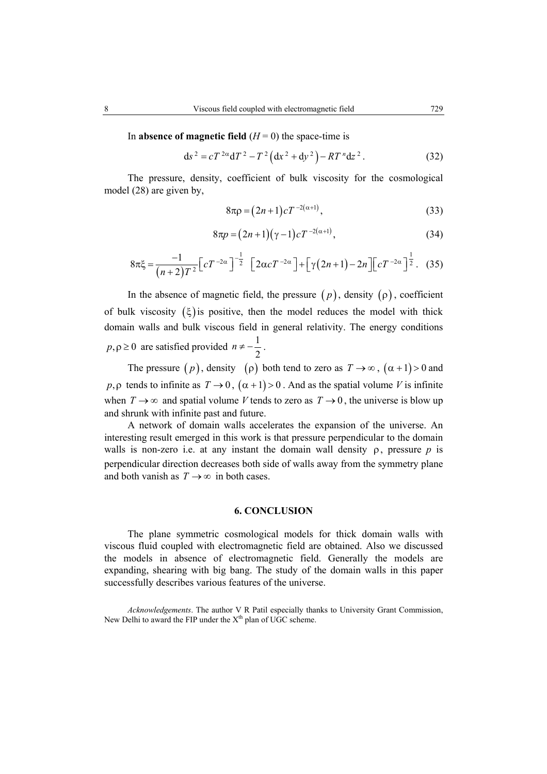In **absence of magnetic field**  $(H = 0)$  the space-time is

$$
ds^{2} = cT^{2\alpha}dT^{2} - T^{2} (dx^{2} + dy^{2}) - RT^{n} dz^{2}. \qquad (32)
$$

The pressure, density, coefficient of bulk viscosity for the cosmological model (28) are given by,

$$
8\pi \rho = (2n+1)cT^{-2(\alpha+1)},
$$
\n(33)

$$
8\pi p = (2n+1)(\gamma - 1)cT^{-2(\alpha+1)},
$$
\n(34)

$$
8\pi\xi = \frac{-1}{\left(n+2\right)T^2} \left[ cT^{-2\alpha} \right]^{-\frac{1}{2}} \left[ 2\alpha cT^{-2\alpha} \right] + \left[ \gamma(2n+1) - 2n \right] \left[ cT^{-2\alpha} \right]^{\frac{1}{2}}.
$$
 (35)

In the absence of magnetic field, the pressure  $(p)$ , density  $(p)$ , coefficient of bulk viscosity  $(\xi)$  is positive, then the model reduces the model with thick domain walls and bulk viscous field in general relativity. The energy conditions  $p, \rho \ge 0$  are satisfied provided  $n \ne -\frac{1}{2}$ 2  $n \neq -\frac{1}{2}$ .

The pressure  $(p)$ , density  $(\rho)$  both tend to zero as  $T \to \infty$ ,  $(\alpha + 1) > 0$  and  $p, \rho$  tends to infinite as  $T \to 0$ ,  $(\alpha + 1) > 0$ . And as the spatial volume *V* is infinite when  $T \to \infty$  and spatial volume *V* tends to zero as  $T \to 0$ , the universe is blow up and shrunk with infinite past and future.

A network of domain walls accelerates the expansion of the universe. An interesting result emerged in this work is that pressure perpendicular to the domain walls is non-zero i.e. at any instant the domain wall density  $\rho$ , pressure  $p$  is perpendicular direction decreases both side of walls away from the symmetry plane and both vanish as  $T \rightarrow \infty$  in both cases.

#### **6. CONCLUSION**

The plane symmetric cosmological models for thick domain walls with viscous fluid coupled with electromagnetic field are obtained. Also we discussed the models in absence of electromagnetic field. Generally the models are expanding, shearing with big bang. The study of the domain walls in this paper successfully describes various features of the universe.

*Acknowledgements*. The author V R Patil especially thanks to University Grant Commission, New Delhi to award the FIP under the  $X<sup>th</sup>$  plan of UGC scheme.